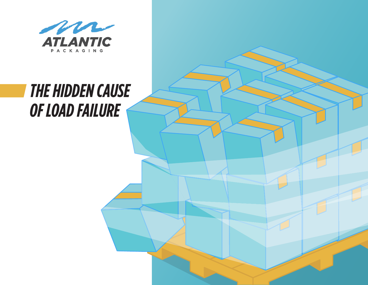

# *THE HIDDEN CAUSE OF LOAD FAILURE*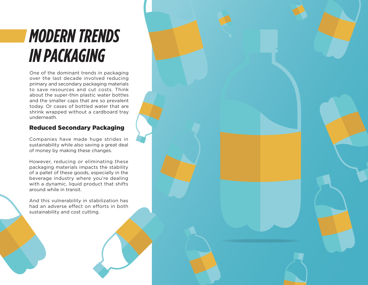# *MODERN TRENDS IN PACKAGING*

One of the dominant trends in packaging over the last decade involved reducing primary and secondary packaging materials to save resources and cut costs. Think about the super-thin plastic water bottles and the smaller caps that are so prevalent today. Or cases of bottled water that are shrink wrapped without a cardboard tray underneath.

### Reduced Secondary Packaging

Companies have made huge strides in sustainability while also saving a great deal of money by making these changes.

However, reducing or eliminating these packaging materials impacts the stability of a pallet of these goods, especially in the beverage industry where you're dealing with a dynamic, liquid product that shifts around while in transit.

And this vulnerability in stabilization has had an adverse effect on efforts in both sustainability and cost cutting.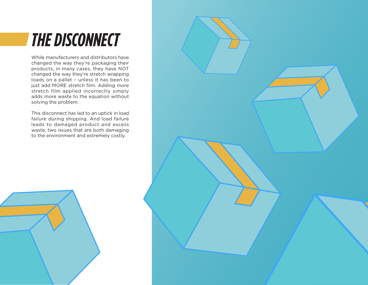# *THE DISCONNECT*

While manufacturers and distributors have changed the way they're packaging their products, in many cases, they have NOT changed the way they're stretch wrapping loads on a pallet – unless it has been to just add MORE stretch film. Adding more stretch film applied incorrectly simply adds more waste to the equation without solving the problem.

This disconnect has led to an uptick in load failure during shipping. And load failure leads to damaged product and excess waste, two issues that are both damaging to the environment and extremely costly.



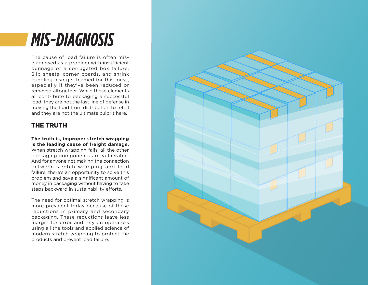## *MIS-DIAGNOSIS*

The cause of load failure is often misdiagnosed as a problem with insufficient dunnage or a corrugated box failure. Slip sheets, corner boards, and shrink bundling also get blamed for this mess, especially if they've been reduced or removed altogether. While these elements all contribute to packaging a successful load, they are not the last line of defense in moving the load from distribution to retail and they are not the ultimate culprit here.

### THE TRUTH

#### **The truth is, improper stretch wrapping is the leading cause of freight damage.**  When stretch wrapping fails, all the other

packaging components are vulnerable. And for anyone not making the connection between stretch wrapping and load failure, there's an opportunity to solve this problem and save a significant amount of money in packaging without having to take steps backward in sustainability efforts.

The need for optimal stretch wrapping is more prevalent today because of these reductions in primary and secondary packaging. These reductions leave less margin for error and rely on operators using all the tools and applied science of modern stretch wrapping to protect the products and prevent load failure.

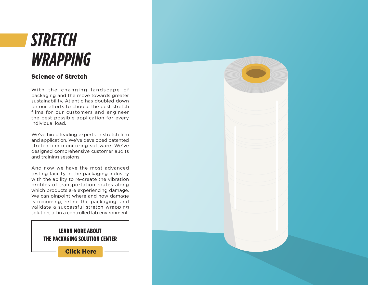## *STRETCH WRAPPING*

### Science of Stretch

With the changing landscape of packaging and the move towards greater sustainability, Atlantic has doubled down on our efforts to choose the best stretch films for our customers and engineer the best possible application for every individual load.

We've hired leading experts in stretch film and application. We've developed patented stretch film monitoring software. We've designed comprehensive customer audits and training sessions.

And now we have the most advanced testing facility in the packaging industry with the ability to re-create the vibration profiles of transportation routes along which products are experiencing damage. We can pinpoint where and how damage is occurring, refine the packaging, and validate a successful stretch wrapping solution, all in a controlled lab environment.

### LEARN MORE ABOUT THE PACKAGING SOLUTION CENTER

[Click Here](https://www.atlanticpkg.com/consulting/packaging_solution_center/)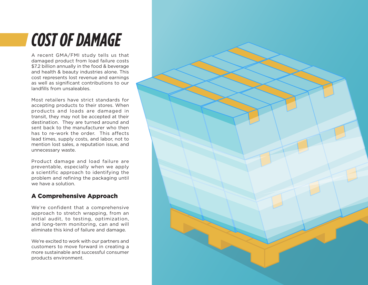# *COST OF DAMAGE*

A recent GMA/FMI study tells us that damaged product from load failure costs \$7.2 billion annually in the food & beverage and health & beauty industries alone. This cost represents lost revenue and earnings as well as significant contributions to our landfills from unsaleables.

Most retailers have strict standards for accepting products to their stores. When products and loads are damaged in transit, they may not be accepted at their destination. They are turned around and sent back to the manufacturer who then has to re-work the order. This affects lead times, supply costs, and labor, not to mention lost sales, a reputation issue, and unnecessary waste.

Product damage and load failure are preventable, especially when we apply a scientific approach to identifying the problem and refining the packaging until we have a solution.

### A Comprehensive Approach

We're confident that a comprehensive approach to stretch wrapping, from an initial audit, to testing, optimization, and long-term monitoring, can and will eliminate this kind of failure and damage.

We're excited to work with our partners and customers to move forward in creating a more sustainable and successful consumer products environment.